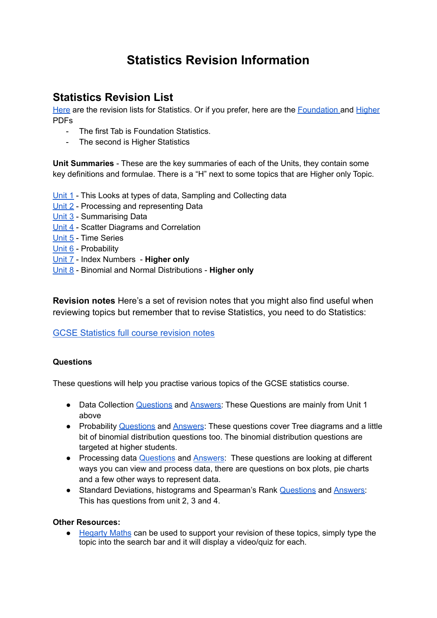# **Statistics Revision Information**

## **Statistics Revision List**

[Here](https://docs.google.com/spreadsheets/d/1A-5kJsHC_GdAyTvWDcVHvGMiuWiIRCPvxQOa6q9Utxg/edit?usp=sharing) are the revision lists for Statistics. Or if you prefer, here are the [Foundation](https://drive.google.com/file/d/1noc4OBwxFyZPm3C3XOGm3yC-Kq01Vxpv/view?usp=sharing) and [Higher](https://drive.google.com/file/d/1lnxTKOJjuwxiAgWQRrdQypB8_hKrPdWD/view?usp=sharing) PDFs

- The first Tab is Foundation Statistics.
- The second is Higher Statistics

**Unit Summaries** - These are the key summaries of each of the Units, they contain some key definitions and formulae. There is a "H" next to some topics that are Higher only Topic.

- [Unit](https://drive.google.com/file/d/140e8NN7DJDKmIzI_6e17DTQOoCWcFhU4/view?usp=sharing) 1 This Looks at types of data, Sampling and Collecting data
- [Unit](https://drive.google.com/file/d/1mJBmQVVxF90IAAXcJJhEN_OPCtqUPboN/view?usp=sharing) 2 Processing and representing Data
- [Unit](https://drive.google.com/file/d/13UpjyZ2-DpOfTtAIcnAQp5mZj0nFtW3c/view?usp=sharing) 3 Summarising Data
- [Unit](https://drive.google.com/file/d/1K5RT7tX5e1mF8zt-MHsoBIUCCBBzjTG1/view?usp=sharing) 4 Scatter Diagrams and Correlation
- [Unit](https://drive.google.com/file/d/1wJHa7KCYbsvjwMLy7zkzadGsLFjtk_OK/view?usp=sharing) 5 Time Series
- [Unit](https://drive.google.com/file/d/1-BiETPCs7d3z3BtS2Z5pLHkrH6Ew5V-R/view?usp=sharing) 6 Probability
- [Unit](https://drive.google.com/file/d/1CidKXbxP5ESNBZ_3KA_XXpcmgtpTZqc4/view?usp=sharing) 7 Index Numbers **Higher only**
- [Unit](https://docs.google.com/document/d/1i9HZJyh-XA1r2mNfdedBNFvnU631vIbl7zl5xuW9RCs/edit?usp=sharing) 8 Binomial and Normal Distributions **Higher only**

**Revision notes** Here's a set of revision notes that you might also find useful when reviewing topics but remember that to revise Statistics, you need to do Statistics:

### [GCSE Statistics full course revision notes](https://drive.google.com/file/d/13fTWqUk0Af4GECtTOwMXSCmBjwAGF5Tv/view?usp=sharing)

### **Questions**

These questions will help you practise various topics of the GCSE statistics course.

- Data Collection **[Questions](https://drive.google.com/file/d/1ZhfmykVDEWWmbNmWGz8uD5xdQRi5GNEY/view?usp=sharing)** and **Answers**: These Questions are mainly from Unit 1 above
- Probability [Questions](https://drive.google.com/file/d/1q84kjzhKUiIZXkkq_8yNwGqRO55htm8Q/view?usp=sharing) and [Answers](https://drive.google.com/file/d/10Zm8wBxjvixHRSY1T14-xsQCBRvOCK56/view?usp=sharing): These questions cover Tree diagrams and a little bit of binomial distribution questions too. The binomial distribution questions are targeted at higher students.
- Processing data **[Questions](https://drive.google.com/file/d/1kaMjd69LXsVHkdHDwYAKI6Kjxw-tWjy-/view?usp=sharing)** and **[Answers:](https://drive.google.com/file/d/17cz5m21xA7dQt_-EU_8YJWM1Pdu_AUVv/view?usp=sharing)** These questions are looking at different ways you can view and process data, there are questions on box plots, pie charts and a few other ways to represent data.
- Standard Deviations, histograms and Spearman's Rank [Questions](https://drive.google.com/file/d/1DnN9nwM6YOwL5REM0rvnt461wDZtITml/view?usp=sharing) and [Answers:](https://drive.google.com/file/d/1XHkpY-vqD9tTaZffWtyr1MM94vGLn-9T/view?usp=sharing) This has questions from unit 2, 3 and 4.

### **Other Resources:**

● [Hegarty](https://hegartymaths.com/) Maths can be used to support your revision of these topics, simply type the topic into the search bar and it will display a video/quiz for each.